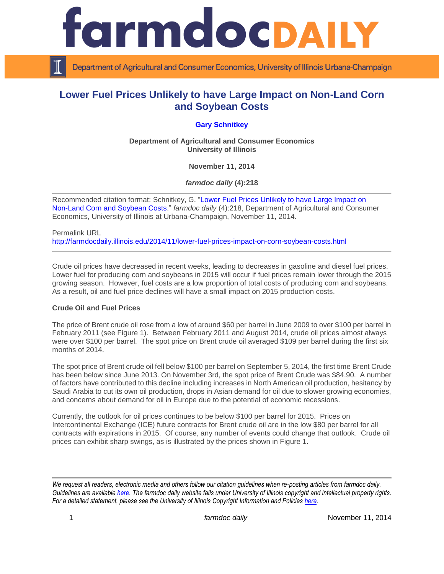

Department of Agricultural and Consumer Economics, University of Illinois Urbana-Champaign

# **Lower Fuel Prices Unlikely to have Large Impact on Non-Land Corn and Soybean Costs**

## **[Gary Schnitkey](http://farmdoc.illinois.edu/schnitkey)**

**Department of Agricultural and Consumer Economics University of Illinois**

**November 11, 2014**

*farmdoc daily* **(4):218**

Recommended citation format: Schnitkey, G. ["Lower Fuel Prices Unlikely to have Large Impact on](http://farmdocdaily.illinois.edu/2014/11/lower-fuel-prices-impact-on-corn-soybean-costs.html)  [Non-Land Corn and Soybean Costs.](http://farmdocdaily.illinois.edu/2014/11/lower-fuel-prices-impact-on-corn-soybean-costs.html)" *farmdoc daily* (4):218, Department of Agricultural and Consumer Economics, University of Illinois at Urbana-Champaign, November 11, 2014.

Permalink URL <http://farmdocdaily.illinois.edu/2014/11/lower-fuel-prices-impact-on-corn-soybean-costs.html>

Crude oil prices have decreased in recent weeks, leading to decreases in gasoline and diesel fuel prices. Lower fuel for producing corn and soybeans in 2015 will occur if fuel prices remain lower through the 2015 growing season. However, fuel costs are a low proportion of total costs of producing corn and soybeans. As a result, oil and fuel price declines will have a small impact on 2015 production costs.

### **Crude Oil and Fuel Prices**

The price of Brent crude oil rose from a low of around \$60 per barrel in June 2009 to over \$100 per barrel in February 2011 (see Figure 1). Between February 2011 and August 2014, crude oil prices almost always were over \$100 per barrel. The spot price on Brent crude oil averaged \$109 per barrel during the first six months of 2014.

The spot price of Brent crude oil fell below \$100 per barrel on September 5, 2014, the first time Brent Crude has been below since June 2013. On November 3rd, the spot price of Brent Crude was \$84.90. A number of factors have contributed to this decline including increases in North American oil production, hesitancy by Saudi Arabia to cut its own oil production, drops in Asian demand for oil due to slower growing economies, and concerns about demand for oil in Europe due to the potential of economic recessions.

Currently, the outlook for oil prices continues to be below \$100 per barrel for 2015. Prices on Intercontinental Exchange (ICE) future contracts for Brent crude oil are in the low \$80 per barrel for all contracts with expirations in 2015. Of course, any number of events could change that outlook. Crude oil prices can exhibit sharp swings, as is illustrated by the prices shown in Figure 1.

*We request all readers, electronic media and others follow our citation guidelines when re-posting articles from farmdoc daily. Guidelines are available [here.](http://farmdocdaily.illinois.edu/citationguide.html) The farmdoc daily website falls under University of Illinois copyright and intellectual property rights. For a detailed statement, please see the University of Illinois Copyright Information and Policies [here.](http://www.cio.illinois.edu/policies/copyright/)*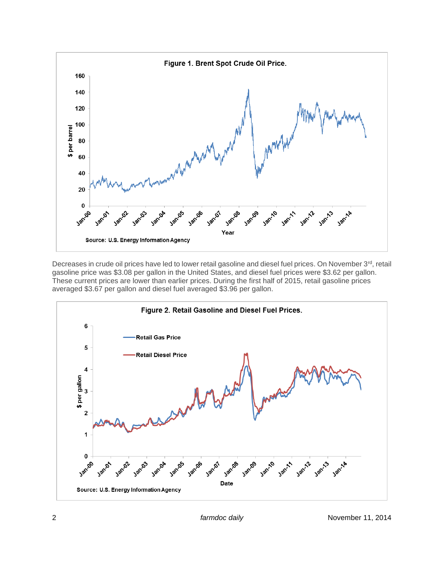

Decreases in crude oil prices have led to lower retail gasoline and diesel fuel prices. On November 3rd, retail gasoline price was \$3.08 per gallon in the United States, and diesel fuel prices were \$3.62 per gallon. These current prices are lower than earlier prices. During the first half of 2015, retail gasoline prices averaged \$3.67 per gallon and diesel fuel averaged \$3.96 per gallon.